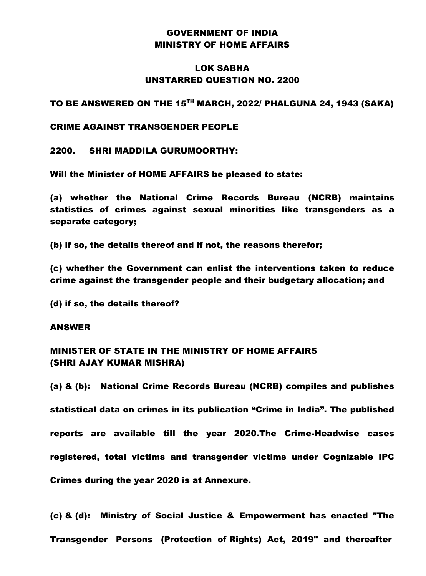## GOVERNMENT OF INDIA MINISTRY OF HOME AFFAIRS

## LOK SABHA UNSTARRED QUESTION NO. 2200

### TO BE ANSWERED ON THE 15TH MARCH, 2022/ PHALGUNA 24, 1943 (SAKA)

#### CRIME AGAINST TRANSGENDER PEOPLE

### 2200. SHRI MADDILA GURUMOORTHY:

Will the Minister of HOME AFFAIRS be pleased to state:

(a) whether the National Crime Records Bureau (NCRB) maintains statistics of crimes against sexual minorities like transgenders as a separate category;

(b) if so, the details thereof and if not, the reasons therefor;

(c) whether the Government can enlist the interventions taken to reduce crime against the transgender people and their budgetary allocation; and

(d) if so, the details thereof?

#### ANSWER

# MINISTER OF STATE IN THE MINISTRY OF HOME AFFAIRS (SHRI AJAY KUMAR MISHRA)

(a) & (b): National Crime Records Bureau (NCRB) compiles and publishes statistical data on crimes in its publication "Crime in India". The published reports are available till the year 2020.The Crime-Headwise cases registered, total victims and transgender victims under Cognizable IPC Crimes during the year 2020 is at Annexure.

(c) & (d): Ministry of Social Justice & Empowerment has enacted "The Transgender Persons (Protection of Rights) Act, 2019" and thereafter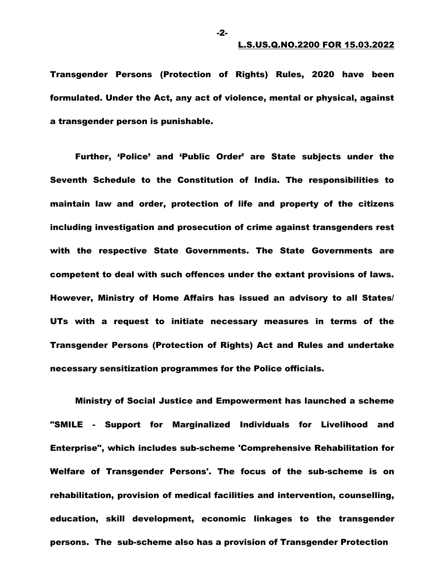Transgender Persons (Protection of Rights) Rules, 2020 have been formulated. Under the Act, any act of violence, mental or physical, against a transgender person is punishable.

Further, "Police" and "Public Order" are State subjects under the Seventh Schedule to the Constitution of India. The responsibilities to maintain law and order, protection of life and property of the citizens including investigation and prosecution of crime against transgenders rest with the respective State Governments. The State Governments are competent to deal with such offences under the extant provisions of laws. However, Ministry of Home Affairs has issued an advisory to all States/ UTs with a request to initiate necessary measures in terms of the Transgender Persons (Protection of Rights) Act and Rules and undertake necessary sensitization programmes for the Police officials.

Ministry of Social Justice and Empowerment has launched a scheme "SMILE - Support for Marginalized Individuals for Livelihood and Enterprise", which includes sub-scheme 'Comprehensive Rehabilitation for Welfare of Transgender Persons'. The focus of the sub-scheme is on rehabilitation, provision of medical facilities and intervention, counselling, education, skill development, economic linkages to the transgender persons. The sub-scheme also has a provision of Transgender Protection

-2-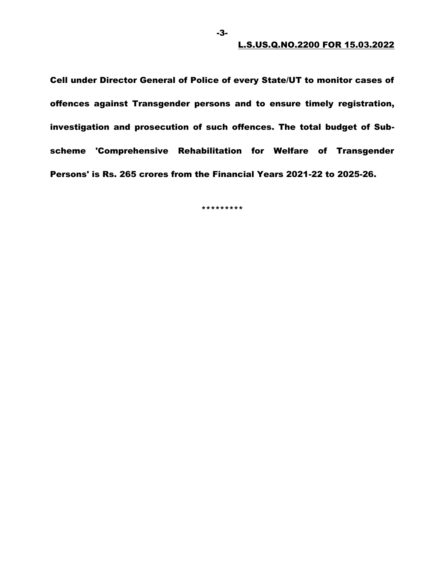Cell under Director General of Police of every State/UT to monitor cases of offences against Transgender persons and to ensure timely registration, investigation and prosecution of such offences. The total budget of Subscheme 'Comprehensive Rehabilitation for Welfare of Transgender Persons' is Rs. 265 crores from the Financial Years 2021-22 to 2025-26.

\*\*\*\*\*\*\*\*\*